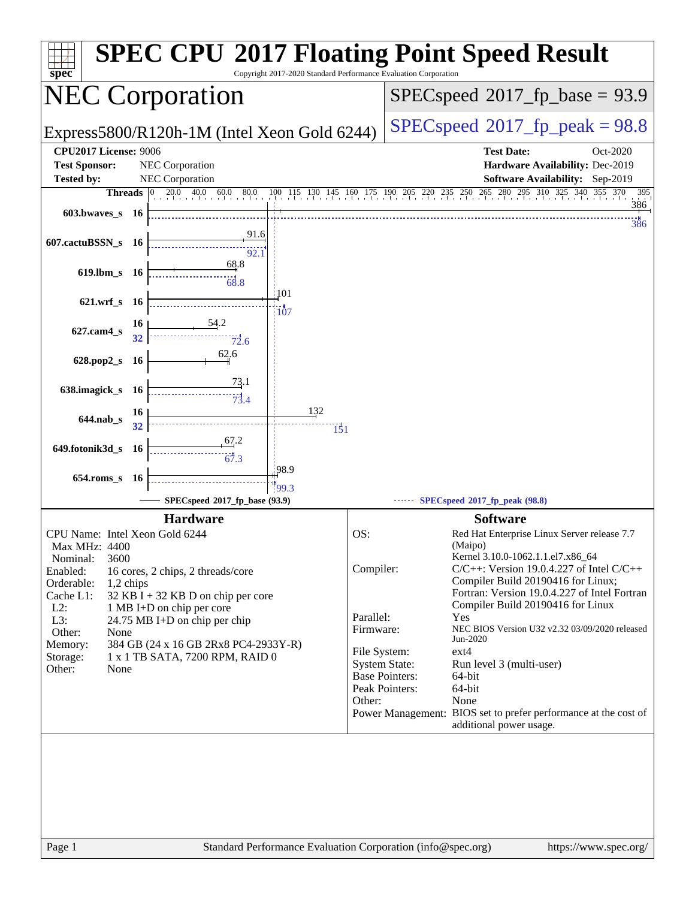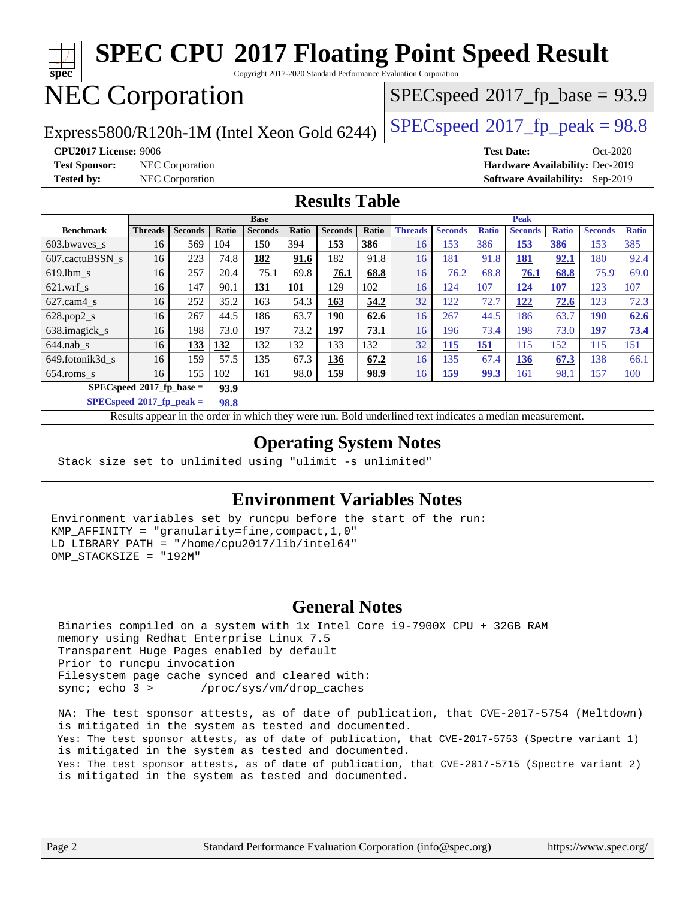#### **[spec](http://www.spec.org/) [SPEC CPU](http://www.spec.org/auto/cpu2017/Docs/result-fields.html#SPECCPU2017FloatingPointSpeedResult)[2017 Floating Point Speed Result](http://www.spec.org/auto/cpu2017/Docs/result-fields.html#SPECCPU2017FloatingPointSpeedResult)** Copyright 2017-2020 Standard Performance Evaluation Corporation NEC Corporation Express5800/R120h-1M (Intel Xeon Gold 6244) [SPECspeed](http://www.spec.org/auto/cpu2017/Docs/result-fields.html#SPECspeed2017fppeak)<sup>®</sup>[2017\\_fp\\_peak = 9](http://www.spec.org/auto/cpu2017/Docs/result-fields.html#SPECspeed2017fppeak)8.8  $SPECspeed*2017_fp\_base = 93.9$  $SPECspeed*2017_fp\_base = 93.9$ **[CPU2017 License:](http://www.spec.org/auto/cpu2017/Docs/result-fields.html#CPU2017License)** 9006 **[Test Date:](http://www.spec.org/auto/cpu2017/Docs/result-fields.html#TestDate)** Oct-2020 **[Test Sponsor:](http://www.spec.org/auto/cpu2017/Docs/result-fields.html#TestSponsor)** NEC Corporation **[Hardware Availability:](http://www.spec.org/auto/cpu2017/Docs/result-fields.html#HardwareAvailability)** Dec-2019 **[Tested by:](http://www.spec.org/auto/cpu2017/Docs/result-fields.html#Testedby)** NEC Corporation **[Software Availability:](http://www.spec.org/auto/cpu2017/Docs/result-fields.html#SoftwareAvailability)** Sep-2019 **[Results Table](http://www.spec.org/auto/cpu2017/Docs/result-fields.html#ResultsTable) [Benchmark](http://www.spec.org/auto/cpu2017/Docs/result-fields.html#Benchmark) [Threads](http://www.spec.org/auto/cpu2017/Docs/result-fields.html#Threads) [Seconds](http://www.spec.org/auto/cpu2017/Docs/result-fields.html#Seconds) [Ratio](http://www.spec.org/auto/cpu2017/Docs/result-fields.html#Ratio) [Seconds](http://www.spec.org/auto/cpu2017/Docs/result-fields.html#Seconds) [Ratio](http://www.spec.org/auto/cpu2017/Docs/result-fields.html#Ratio) [Seconds](http://www.spec.org/auto/cpu2017/Docs/result-fields.html#Seconds) [Ratio](http://www.spec.org/auto/cpu2017/Docs/result-fields.html#Ratio) Base [Threads](http://www.spec.org/auto/cpu2017/Docs/result-fields.html#Threads) [Seconds](http://www.spec.org/auto/cpu2017/Docs/result-fields.html#Seconds) [Ratio](http://www.spec.org/auto/cpu2017/Docs/result-fields.html#Ratio) [Seconds](http://www.spec.org/auto/cpu2017/Docs/result-fields.html#Seconds) [Ratio](http://www.spec.org/auto/cpu2017/Docs/result-fields.html#Ratio) [Seconds](http://www.spec.org/auto/cpu2017/Docs/result-fields.html#Seconds) [Ratio](http://www.spec.org/auto/cpu2017/Docs/result-fields.html#Ratio) Peak** [603.bwaves\\_s](http://www.spec.org/auto/cpu2017/Docs/benchmarks/603.bwaves_s.html) 16 569 104 150 394 **[153](http://www.spec.org/auto/cpu2017/Docs/result-fields.html#Median) [386](http://www.spec.org/auto/cpu2017/Docs/result-fields.html#Median)** 16 153 386 **[153](http://www.spec.org/auto/cpu2017/Docs/result-fields.html#Median) [386](http://www.spec.org/auto/cpu2017/Docs/result-fields.html#Median)** 153 385

[607.cactuBSSN\\_s](http://www.spec.org/auto/cpu2017/Docs/benchmarks/607.cactuBSSN_s.html) 16 223 74.8 **[182](http://www.spec.org/auto/cpu2017/Docs/result-fields.html#Median) [91.6](http://www.spec.org/auto/cpu2017/Docs/result-fields.html#Median)** 182 91.8 16 181 91.8 **[181](http://www.spec.org/auto/cpu2017/Docs/result-fields.html#Median) [92.1](http://www.spec.org/auto/cpu2017/Docs/result-fields.html#Median)** 180 92.4 [619.lbm\\_s](http://www.spec.org/auto/cpu2017/Docs/benchmarks/619.lbm_s.html) 16 257 20.4 75.1 69.8 **[76.1](http://www.spec.org/auto/cpu2017/Docs/result-fields.html#Median) [68.8](http://www.spec.org/auto/cpu2017/Docs/result-fields.html#Median)** 16 76.2 68.8 **[76.1](http://www.spec.org/auto/cpu2017/Docs/result-fields.html#Median) [68.8](http://www.spec.org/auto/cpu2017/Docs/result-fields.html#Median)** 75.9 69.0 [621.wrf\\_s](http://www.spec.org/auto/cpu2017/Docs/benchmarks/621.wrf_s.html) 16 147 90.1 **[131](http://www.spec.org/auto/cpu2017/Docs/result-fields.html#Median) [101](http://www.spec.org/auto/cpu2017/Docs/result-fields.html#Median)** 129 102 16 124 107 **[124](http://www.spec.org/auto/cpu2017/Docs/result-fields.html#Median) [107](http://www.spec.org/auto/cpu2017/Docs/result-fields.html#Median)** 123 107 [627.cam4\\_s](http://www.spec.org/auto/cpu2017/Docs/benchmarks/627.cam4_s.html) 16 252 35.2 163 54.3 **[163](http://www.spec.org/auto/cpu2017/Docs/result-fields.html#Median) [54.2](http://www.spec.org/auto/cpu2017/Docs/result-fields.html#Median)** 32 122 72.7 **[122](http://www.spec.org/auto/cpu2017/Docs/result-fields.html#Median) [72.6](http://www.spec.org/auto/cpu2017/Docs/result-fields.html#Median)** 123 72.3 [628.pop2\\_s](http://www.spec.org/auto/cpu2017/Docs/benchmarks/628.pop2_s.html) 16 267 44.5 186 63.7 **[190](http://www.spec.org/auto/cpu2017/Docs/result-fields.html#Median) [62.6](http://www.spec.org/auto/cpu2017/Docs/result-fields.html#Median)** 16 267 44.5 186 63.7 **[190](http://www.spec.org/auto/cpu2017/Docs/result-fields.html#Median) [62.6](http://www.spec.org/auto/cpu2017/Docs/result-fields.html#Median)** [638.imagick\\_s](http://www.spec.org/auto/cpu2017/Docs/benchmarks/638.imagick_s.html) 16 198 73.0 197 73.2 **[197](http://www.spec.org/auto/cpu2017/Docs/result-fields.html#Median) [73.1](http://www.spec.org/auto/cpu2017/Docs/result-fields.html#Median)** 16 196 73.4 198 73.0 **[197](http://www.spec.org/auto/cpu2017/Docs/result-fields.html#Median) [73.4](http://www.spec.org/auto/cpu2017/Docs/result-fields.html#Median)** [644.nab\\_s](http://www.spec.org/auto/cpu2017/Docs/benchmarks/644.nab_s.html) 16 **[133](http://www.spec.org/auto/cpu2017/Docs/result-fields.html#Median) [132](http://www.spec.org/auto/cpu2017/Docs/result-fields.html#Median)** 132 132 133 132 32 **[115](http://www.spec.org/auto/cpu2017/Docs/result-fields.html#Median) [151](http://www.spec.org/auto/cpu2017/Docs/result-fields.html#Median)** 115 152 115 151 [649.fotonik3d\\_s](http://www.spec.org/auto/cpu2017/Docs/benchmarks/649.fotonik3d_s.html) 16 159 57.5 135 67.3 **[136](http://www.spec.org/auto/cpu2017/Docs/result-fields.html#Median) [67.2](http://www.spec.org/auto/cpu2017/Docs/result-fields.html#Median)** 16 135 67.4 **[136](http://www.spec.org/auto/cpu2017/Docs/result-fields.html#Median) [67.3](http://www.spec.org/auto/cpu2017/Docs/result-fields.html#Median)** 138 66.1

[654.roms\\_s](http://www.spec.org/auto/cpu2017/Docs/benchmarks/654.roms_s.html) 16 155 102 161 98.0 **[159](http://www.spec.org/auto/cpu2017/Docs/result-fields.html#Median) [98.9](http://www.spec.org/auto/cpu2017/Docs/result-fields.html#Median)** 16 **[159](http://www.spec.org/auto/cpu2017/Docs/result-fields.html#Median) [99.3](http://www.spec.org/auto/cpu2017/Docs/result-fields.html#Median)** 161 98.1 157 100 **[SPECspeed](http://www.spec.org/auto/cpu2017/Docs/result-fields.html#SPECspeed2017fpbase)[2017\\_fp\\_base =](http://www.spec.org/auto/cpu2017/Docs/result-fields.html#SPECspeed2017fpbase) 93.9 [SPECspeed](http://www.spec.org/auto/cpu2017/Docs/result-fields.html#SPECspeed2017fppeak)[2017\\_fp\\_peak =](http://www.spec.org/auto/cpu2017/Docs/result-fields.html#SPECspeed2017fppeak) 98.8**

Results appear in the [order in which they were run.](http://www.spec.org/auto/cpu2017/Docs/result-fields.html#RunOrder) Bold underlined text [indicates a median measurement](http://www.spec.org/auto/cpu2017/Docs/result-fields.html#Median).

#### **[Operating System Notes](http://www.spec.org/auto/cpu2017/Docs/result-fields.html#OperatingSystemNotes)**

Stack size set to unlimited using "ulimit -s unlimited"

#### **[Environment Variables Notes](http://www.spec.org/auto/cpu2017/Docs/result-fields.html#EnvironmentVariablesNotes)**

Environment variables set by runcpu before the start of the run: KMP\_AFFINITY = "granularity=fine,compact,1,0" LD\_LIBRARY\_PATH = "/home/cpu2017/lib/intel64" OMP\_STACKSIZE = "192M"

#### **[General Notes](http://www.spec.org/auto/cpu2017/Docs/result-fields.html#GeneralNotes)**

 Binaries compiled on a system with 1x Intel Core i9-7900X CPU + 32GB RAM memory using Redhat Enterprise Linux 7.5 Transparent Huge Pages enabled by default Prior to runcpu invocation Filesystem page cache synced and cleared with: sync; echo 3 > /proc/sys/vm/drop\_caches

 NA: The test sponsor attests, as of date of publication, that CVE-2017-5754 (Meltdown) is mitigated in the system as tested and documented. Yes: The test sponsor attests, as of date of publication, that CVE-2017-5753 (Spectre variant 1) is mitigated in the system as tested and documented. Yes: The test sponsor attests, as of date of publication, that CVE-2017-5715 (Spectre variant 2) is mitigated in the system as tested and documented.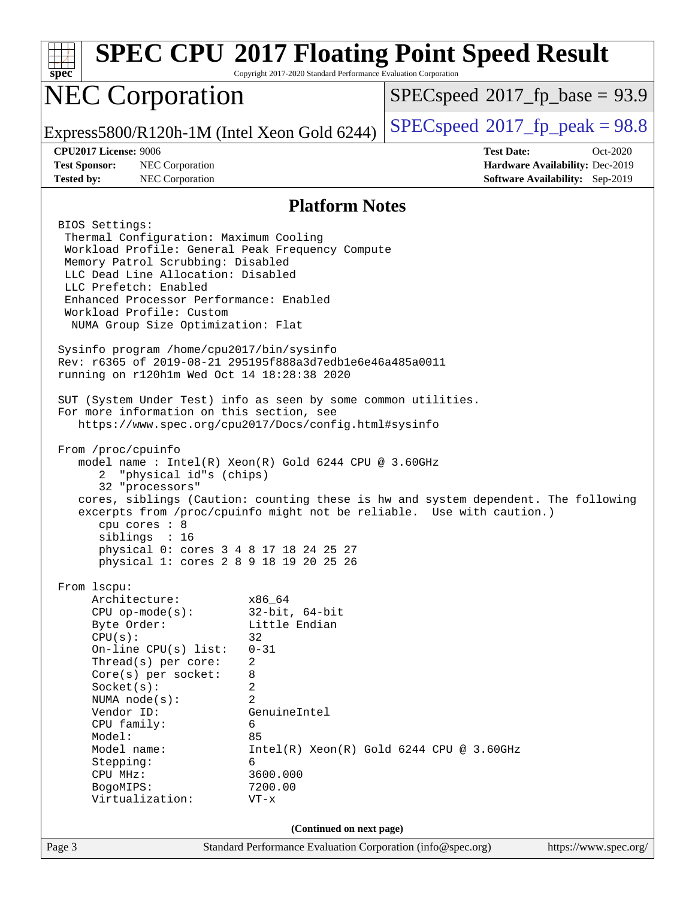| <b>SPEC CPU®2017 Floating Point Speed Result</b><br>spec<br>Copyright 2017-2020 Standard Performance Evaluation Corporation                                                                                                                                                                                                                                                                                                                                                                                                                                                                                                                                                                                                                                                                                                                                                                                                                                                                                                                                                                                                                        |                                                                                                            |                                                                                                                                                             |  |  |
|----------------------------------------------------------------------------------------------------------------------------------------------------------------------------------------------------------------------------------------------------------------------------------------------------------------------------------------------------------------------------------------------------------------------------------------------------------------------------------------------------------------------------------------------------------------------------------------------------------------------------------------------------------------------------------------------------------------------------------------------------------------------------------------------------------------------------------------------------------------------------------------------------------------------------------------------------------------------------------------------------------------------------------------------------------------------------------------------------------------------------------------------------|------------------------------------------------------------------------------------------------------------|-------------------------------------------------------------------------------------------------------------------------------------------------------------|--|--|
| <b>NEC Corporation</b>                                                                                                                                                                                                                                                                                                                                                                                                                                                                                                                                                                                                                                                                                                                                                                                                                                                                                                                                                                                                                                                                                                                             |                                                                                                            | $SPEC speed^{\circ}2017$ fp base = 93.9                                                                                                                     |  |  |
| Express5800/R120h-1M (Intel Xeon Gold 6244)                                                                                                                                                                                                                                                                                                                                                                                                                                                                                                                                                                                                                                                                                                                                                                                                                                                                                                                                                                                                                                                                                                        |                                                                                                            | $SPEC speed^{\circ}2017$ [p_peak = 98.8                                                                                                                     |  |  |
| <b>CPU2017 License: 9006</b><br><b>Test Sponsor:</b><br>NEC Corporation<br><b>Tested by:</b><br>NEC Corporation                                                                                                                                                                                                                                                                                                                                                                                                                                                                                                                                                                                                                                                                                                                                                                                                                                                                                                                                                                                                                                    |                                                                                                            | <b>Test Date:</b><br>$Oct-2020$<br>Hardware Availability: Dec-2019<br><b>Software Availability:</b> Sep-2019                                                |  |  |
| <b>Platform Notes</b>                                                                                                                                                                                                                                                                                                                                                                                                                                                                                                                                                                                                                                                                                                                                                                                                                                                                                                                                                                                                                                                                                                                              |                                                                                                            |                                                                                                                                                             |  |  |
| BIOS Settings:<br>Thermal Configuration: Maximum Cooling<br>Workload Profile: General Peak Frequency Compute<br>Memory Patrol Scrubbing: Disabled<br>LLC Dead Line Allocation: Disabled<br>LLC Prefetch: Enabled<br>Enhanced Processor Performance: Enabled<br>Workload Profile: Custom<br>NUMA Group Size Optimization: Flat<br>Sysinfo program /home/cpu2017/bin/sysinfo<br>Rev: r6365 of 2019-08-21 295195f888a3d7edble6e46a485a0011<br>running on r120h1m Wed Oct 14 18:28:38 2020<br>SUT (System Under Test) info as seen by some common utilities.<br>For more information on this section, see<br>https://www.spec.org/cpu2017/Docs/config.html#sysinfo<br>From /proc/cpuinfo<br>model name : Intel(R) Xeon(R) Gold 6244 CPU @ 3.60GHz<br>"physical id"s (chips)<br>2<br>32 "processors"<br>cpu cores : 8<br>siblings : 16<br>physical 0: cores 3 4 8 17 18 24 25 27<br>physical 1: cores 2 8 9 18 19 20 25 26<br>From lscpu:<br>Architecture:<br>$CPU$ op-mode( $s$ ):<br>Byte Order:<br>CPU(s):<br>On-line CPU(s) list:<br>Thread( $s$ ) per core:<br>$Core(s)$ per socket:<br>Socket(s):<br>NUMA $node(s):$<br>Vendor ID:<br>CPU family: | x86_64<br>$32$ -bit, $64$ -bit<br>Little Endian<br>32<br>$0 - 31$<br>2<br>8<br>2<br>2<br>GenuineIntel<br>6 | cores, siblings (Caution: counting these is hw and system dependent. The following<br>excerpts from /proc/cpuinfo might not be reliable. Use with caution.) |  |  |
| Model:<br>Model name:<br>Stepping:                                                                                                                                                                                                                                                                                                                                                                                                                                                                                                                                                                                                                                                                                                                                                                                                                                                                                                                                                                                                                                                                                                                 | 85<br>6                                                                                                    | $Intel(R) Xeon(R) Gold 6244 CPU @ 3.60GHz$                                                                                                                  |  |  |
| CPU MHz:<br>BogoMIPS:<br>Virtualization:                                                                                                                                                                                                                                                                                                                                                                                                                                                                                                                                                                                                                                                                                                                                                                                                                                                                                                                                                                                                                                                                                                           | 3600.000<br>7200.00<br>$VT - x$                                                                            |                                                                                                                                                             |  |  |
| (Continued on next page)                                                                                                                                                                                                                                                                                                                                                                                                                                                                                                                                                                                                                                                                                                                                                                                                                                                                                                                                                                                                                                                                                                                           |                                                                                                            |                                                                                                                                                             |  |  |
| Page 3                                                                                                                                                                                                                                                                                                                                                                                                                                                                                                                                                                                                                                                                                                                                                                                                                                                                                                                                                                                                                                                                                                                                             | Standard Performance Evaluation Corporation (info@spec.org)                                                | https://www.spec.org/                                                                                                                                       |  |  |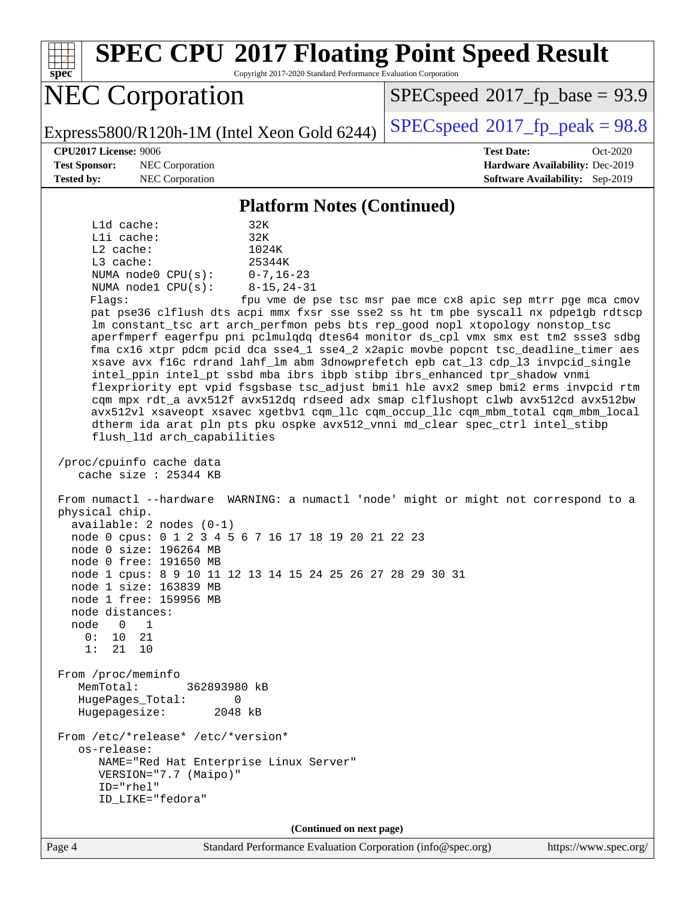**[spec](http://www.spec.org/) [SPEC CPU](http://www.spec.org/auto/cpu2017/Docs/result-fields.html#SPECCPU2017FloatingPointSpeedResult)[2017 Floating Point Speed Result](http://www.spec.org/auto/cpu2017/Docs/result-fields.html#SPECCPU2017FloatingPointSpeedResult)** Copyright 2017-2020 Standard Performance Evaluation Corporation NEC Corporation Express5800/R120h-1M (Intel Xeon Gold 6244)  $\left|$  [SPECspeed](http://www.spec.org/auto/cpu2017/Docs/result-fields.html#SPECspeed2017fppeak)<sup>®</sup>[2017\\_fp\\_peak = 9](http://www.spec.org/auto/cpu2017/Docs/result-fields.html#SPECspeed2017fppeak)8.8  $SPECspeed*2017_fp\_base = 93.9$  $SPECspeed*2017_fp\_base = 93.9$ **[CPU2017 License:](http://www.spec.org/auto/cpu2017/Docs/result-fields.html#CPU2017License)** 9006 **[Test Date:](http://www.spec.org/auto/cpu2017/Docs/result-fields.html#TestDate)** Oct-2020 **[Test Sponsor:](http://www.spec.org/auto/cpu2017/Docs/result-fields.html#TestSponsor)** NEC Corporation **[Hardware Availability:](http://www.spec.org/auto/cpu2017/Docs/result-fields.html#HardwareAvailability)** Dec-2019 **[Tested by:](http://www.spec.org/auto/cpu2017/Docs/result-fields.html#Testedby)** NEC Corporation **[Software Availability:](http://www.spec.org/auto/cpu2017/Docs/result-fields.html#SoftwareAvailability)** Sep-2019 **[Platform Notes \(Continued\)](http://www.spec.org/auto/cpu2017/Docs/result-fields.html#PlatformNotes)** L1d cache: 32K L1i cache: 32K L2 cache: 1024K L3 cache: 25344K NUMA node0 CPU(s): 0-7,16-23 NUMA node1 CPU(s): 8-15,24-31 Flags: fpu vme de pse tsc msr pae mce cx8 apic sep mtrr pge mca cmov pat pse36 clflush dts acpi mmx fxsr sse sse2 ss ht tm pbe syscall nx pdpe1gb rdtscp lm constant\_tsc art arch\_perfmon pebs bts rep\_good nopl xtopology nonstop\_tsc aperfmperf eagerfpu pni pclmulqdq dtes64 monitor ds\_cpl vmx smx est tm2 ssse3 sdbg fma cx16 xtpr pdcm pcid dca sse4\_1 sse4\_2 x2apic movbe popcnt tsc\_deadline\_timer aes xsave avx f16c rdrand lahf\_lm abm 3dnowprefetch epb cat\_l3 cdp\_l3 invpcid\_single intel\_ppin intel\_pt ssbd mba ibrs ibpb stibp ibrs\_enhanced tpr\_shadow vnmi flexpriority ept vpid fsgsbase tsc\_adjust bmi1 hle avx2 smep bmi2 erms invpcid rtm cqm mpx rdt\_a avx512f avx512dq rdseed adx smap clflushopt clwb avx512cd avx512bw avx512vl xsaveopt xsavec xgetbv1 cqm\_llc cqm\_occup\_llc cqm\_mbm\_total cqm\_mbm\_local dtherm ida arat pln pts pku ospke avx512\_vnni md\_clear spec\_ctrl intel\_stibp flush\_l1d arch\_capabilities /proc/cpuinfo cache data cache size : 25344 KB From numactl --hardware WARNING: a numactl 'node' might or might not correspond to a physical chip. available: 2 nodes (0-1) node 0 cpus: 0 1 2 3 4 5 6 7 16 17 18 19 20 21 22 23 node 0 size: 196264 MB node 0 free: 191650 MB node 1 cpus: 8 9 10 11 12 13 14 15 24 25 26 27 28 29 30 31 node 1 size: 163839 MB node 1 free: 159956 MB node distances: node 0 1 0: 10 21 1: 21 10 From /proc/meminfo MemTotal: 362893980 kB HugePages\_Total: 0 Hugepagesize: 2048 kB From /etc/\*release\* /etc/\*version\* os-release: NAME="Red Hat Enterprise Linux Server" VERSION="7.7 (Maipo)" ID="rhel" ID\_LIKE="fedora" **(Continued on next page)**

Page 4 Standard Performance Evaluation Corporation [\(info@spec.org\)](mailto:info@spec.org) <https://www.spec.org/>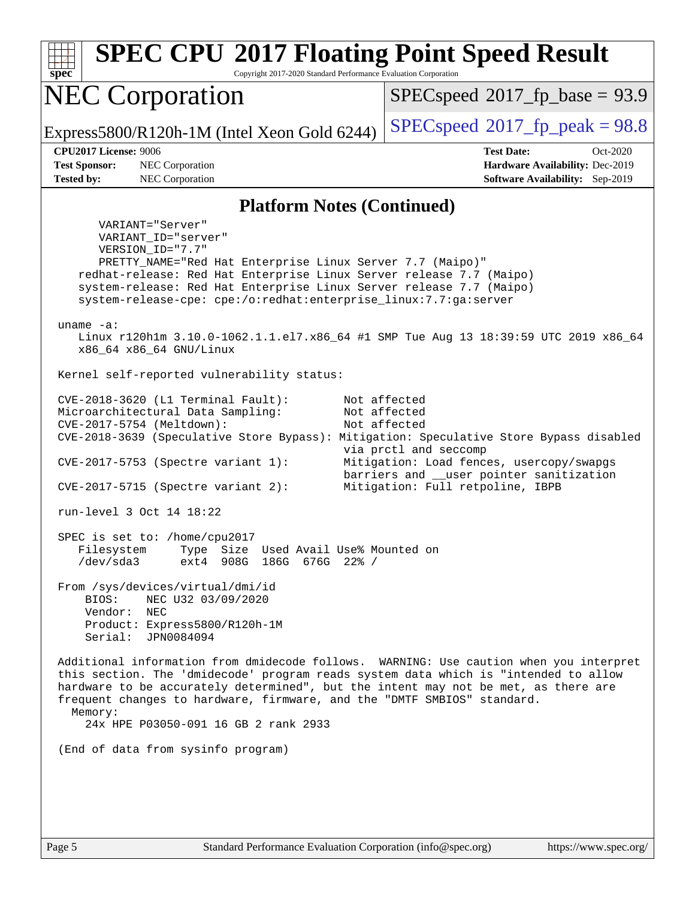**[spec](http://www.spec.org/) [SPEC CPU](http://www.spec.org/auto/cpu2017/Docs/result-fields.html#SPECCPU2017FloatingPointSpeedResult)[2017 Floating Point Speed Result](http://www.spec.org/auto/cpu2017/Docs/result-fields.html#SPECCPU2017FloatingPointSpeedResult)** Copyright 2017-2020 Standard Performance Evaluation Corporation NEC Corporation Express5800/R120h-1M (Intel Xeon Gold 6244) [SPECspeed](http://www.spec.org/auto/cpu2017/Docs/result-fields.html#SPECspeed2017fppeak)<sup>®</sup>[2017\\_fp\\_peak = 9](http://www.spec.org/auto/cpu2017/Docs/result-fields.html#SPECspeed2017fppeak)8.8  $SPECspeed*2017_fp\_base = 93.9$  $SPECspeed*2017_fp\_base = 93.9$ **[CPU2017 License:](http://www.spec.org/auto/cpu2017/Docs/result-fields.html#CPU2017License)** 9006 **[Test Date:](http://www.spec.org/auto/cpu2017/Docs/result-fields.html#TestDate)** Oct-2020 **[Test Sponsor:](http://www.spec.org/auto/cpu2017/Docs/result-fields.html#TestSponsor)** NEC Corporation **[Hardware Availability:](http://www.spec.org/auto/cpu2017/Docs/result-fields.html#HardwareAvailability)** Dec-2019 **[Tested by:](http://www.spec.org/auto/cpu2017/Docs/result-fields.html#Testedby)** NEC Corporation **[Software Availability:](http://www.spec.org/auto/cpu2017/Docs/result-fields.html#SoftwareAvailability)** Sep-2019 **[Platform Notes \(Continued\)](http://www.spec.org/auto/cpu2017/Docs/result-fields.html#PlatformNotes)** VARIANT="Server" VARIANT\_ID="server" VERSION\_ID="7.7" PRETTY\_NAME="Red Hat Enterprise Linux Server 7.7 (Maipo)" redhat-release: Red Hat Enterprise Linux Server release 7.7 (Maipo) system-release: Red Hat Enterprise Linux Server release 7.7 (Maipo) system-release-cpe: cpe:/o:redhat:enterprise\_linux:7.7:ga:server uname -a: Linux r120h1m 3.10.0-1062.1.1.el7.x86\_64 #1 SMP Tue Aug 13 18:39:59 UTC 2019 x86\_64 x86\_64 x86\_64 GNU/Linux Kernel self-reported vulnerability status: CVE-2018-3620 (L1 Terminal Fault): Not affected Microarchitectural Data Sampling: Not affected CVE-2017-5754 (Meltdown): Not affected CVE-2018-3639 (Speculative Store Bypass): Mitigation: Speculative Store Bypass disabled via prctl and seccomp CVE-2017-5753 (Spectre variant 1): Mitigation: Load fences, usercopy/swapgs barriers and \_\_user pointer sanitization CVE-2017-5715 (Spectre variant 2): Mitigation: Full retpoline, IBPB run-level 3 Oct 14 18:22 SPEC is set to: /home/cpu2017 Filesystem Type Size Used Avail Use% Mounted on /dev/sda3 ext4 908G 186G 676G 22% / From /sys/devices/virtual/dmi/id BIOS: NEC U32 03/09/2020 Vendor: NEC Product: Express5800/R120h-1M Serial: JPN0084094 Additional information from dmidecode follows. WARNING: Use caution when you interpret this section. The 'dmidecode' program reads system data which is "intended to allow hardware to be accurately determined", but the intent may not be met, as there are frequent changes to hardware, firmware, and the "DMTF SMBIOS" standard. Memory: 24x HPE P03050-091 16 GB 2 rank 2933 (End of data from sysinfo program)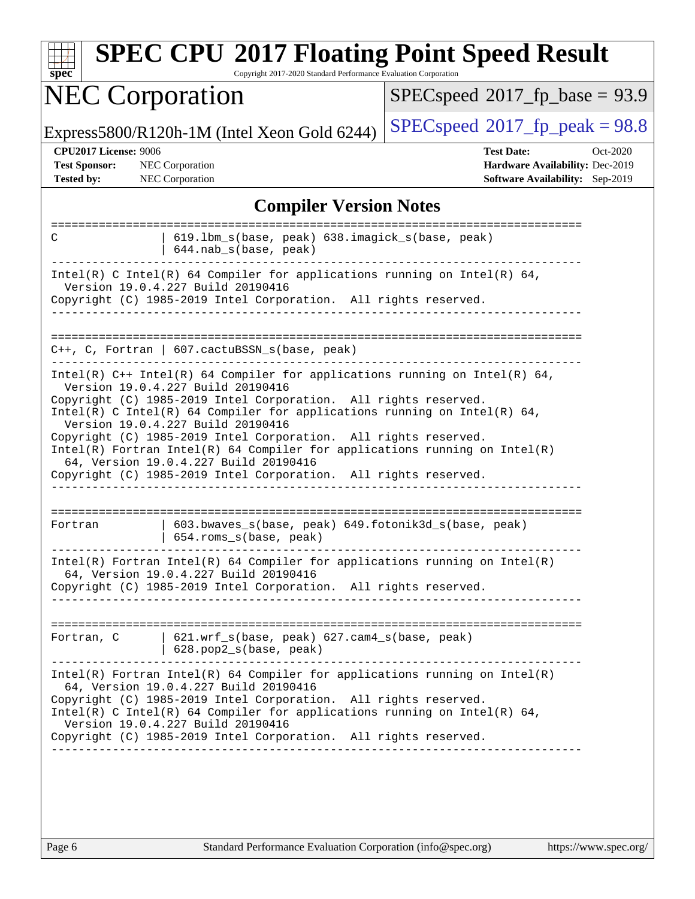| Copyright 2017-2020 Standard Performance Evaluation Corporation                                                                                                                                                                                                                                                                                                                                                                                     |  |  |  |  |
|-----------------------------------------------------------------------------------------------------------------------------------------------------------------------------------------------------------------------------------------------------------------------------------------------------------------------------------------------------------------------------------------------------------------------------------------------------|--|--|--|--|
| $SPEC speed^{\circ}2017$ fp base = 93.9                                                                                                                                                                                                                                                                                                                                                                                                             |  |  |  |  |
| $SPEC speed^{\circ}2017$ [p_peak = 98.8                                                                                                                                                                                                                                                                                                                                                                                                             |  |  |  |  |
| <b>Test Date:</b><br>Oct-2020<br>Hardware Availability: Dec-2019<br>Software Availability: Sep-2019                                                                                                                                                                                                                                                                                                                                                 |  |  |  |  |
| <b>Compiler Version Notes</b>                                                                                                                                                                                                                                                                                                                                                                                                                       |  |  |  |  |
| 619.1bm_s(base, peak) 638.imagick_s(base, peak)                                                                                                                                                                                                                                                                                                                                                                                                     |  |  |  |  |
| Intel(R) C Intel(R) 64 Compiler for applications running on Intel(R) 64,<br>Copyright (C) 1985-2019 Intel Corporation. All rights reserved.                                                                                                                                                                                                                                                                                                         |  |  |  |  |
|                                                                                                                                                                                                                                                                                                                                                                                                                                                     |  |  |  |  |
| Intel(R) $C++$ Intel(R) 64 Compiler for applications running on Intel(R) 64,<br>Copyright (C) 1985-2019 Intel Corporation. All rights reserved.<br>$Intel(R)$ C Intel(R) 64 Compiler for applications running on Intel(R) 64,<br>Copyright (C) 1985-2019 Intel Corporation. All rights reserved.<br>$Intel(R)$ Fortran Intel(R) 64 Compiler for applications running on Intel(R)<br>Copyright (C) 1985-2019 Intel Corporation. All rights reserved. |  |  |  |  |
| 603.bwaves_s(base, peak) 649.fotonik3d_s(base, peak)                                                                                                                                                                                                                                                                                                                                                                                                |  |  |  |  |
| $Intel(R)$ Fortran Intel(R) 64 Compiler for applications running on Intel(R)<br>Copyright (C) 1985-2019 Intel Corporation. All rights reserved.                                                                                                                                                                                                                                                                                                     |  |  |  |  |
| 621.wrf_s(base, peak) 627.cam4_s(base, peak)                                                                                                                                                                                                                                                                                                                                                                                                        |  |  |  |  |
| $Intel(R)$ Fortran Intel(R) 64 Compiler for applications running on Intel(R)<br>Copyright (C) 1985-2019 Intel Corporation. All rights reserved.<br>Intel(R) C Intel(R) 64 Compiler for applications running on Intel(R) 64,<br>Copyright (C) 1985-2019 Intel Corporation. All rights reserved.                                                                                                                                                      |  |  |  |  |
|                                                                                                                                                                                                                                                                                                                                                                                                                                                     |  |  |  |  |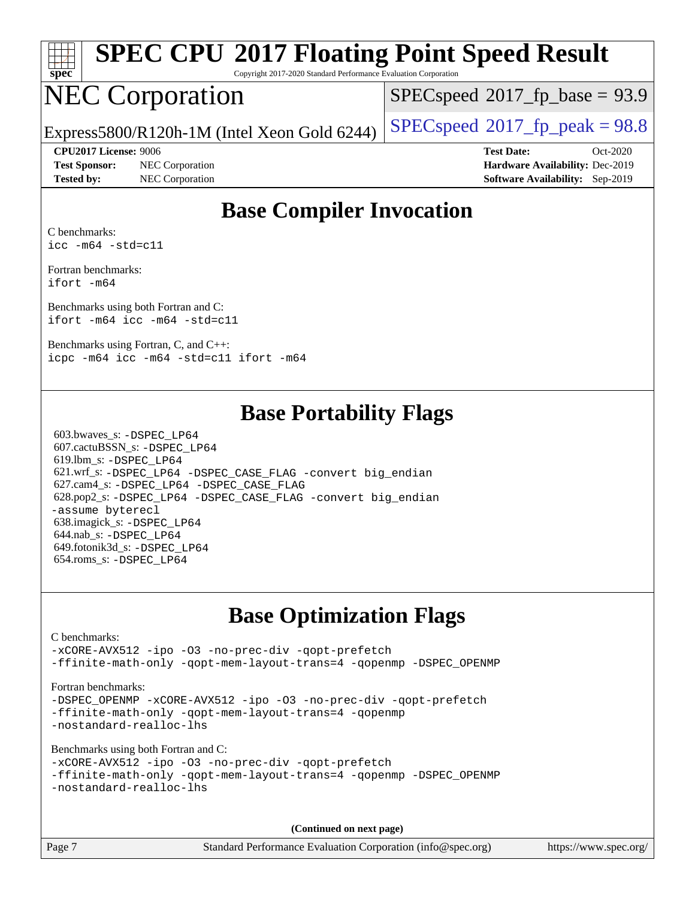

# **[SPEC CPU](http://www.spec.org/auto/cpu2017/Docs/result-fields.html#SPECCPU2017FloatingPointSpeedResult)[2017 Floating Point Speed Result](http://www.spec.org/auto/cpu2017/Docs/result-fields.html#SPECCPU2017FloatingPointSpeedResult)**

Copyright 2017-2020 Standard Performance Evaluation Corporation

# NEC Corporation

 $SPECspeed^{\circledast}2017$  $SPECspeed^{\circledast}2017$  fp base = 93.9

Express5800/R120h-1M (Intel Xeon Gold 6244) [SPECspeed](http://www.spec.org/auto/cpu2017/Docs/result-fields.html#SPECspeed2017fppeak)<sup>®</sup>[2017\\_fp\\_peak = 9](http://www.spec.org/auto/cpu2017/Docs/result-fields.html#SPECspeed2017fppeak)8.8

**[Test Sponsor:](http://www.spec.org/auto/cpu2017/Docs/result-fields.html#TestSponsor)** NEC Corporation **[Hardware Availability:](http://www.spec.org/auto/cpu2017/Docs/result-fields.html#HardwareAvailability)** Dec-2019 **[Tested by:](http://www.spec.org/auto/cpu2017/Docs/result-fields.html#Testedby)** NEC Corporation **[Software Availability:](http://www.spec.org/auto/cpu2017/Docs/result-fields.html#SoftwareAvailability)** Sep-2019

**[CPU2017 License:](http://www.spec.org/auto/cpu2017/Docs/result-fields.html#CPU2017License)** 9006 **[Test Date:](http://www.spec.org/auto/cpu2017/Docs/result-fields.html#TestDate)** Oct-2020

### **[Base Compiler Invocation](http://www.spec.org/auto/cpu2017/Docs/result-fields.html#BaseCompilerInvocation)**

[C benchmarks:](http://www.spec.org/auto/cpu2017/Docs/result-fields.html#Cbenchmarks) [icc -m64 -std=c11](http://www.spec.org/cpu2017/results/res2020q4/cpu2017-20201026-24268.flags.html#user_CCbase_intel_icc_64bit_c11_33ee0cdaae7deeeab2a9725423ba97205ce30f63b9926c2519791662299b76a0318f32ddfffdc46587804de3178b4f9328c46fa7c2b0cd779d7a61945c91cd35)

[Fortran benchmarks](http://www.spec.org/auto/cpu2017/Docs/result-fields.html#Fortranbenchmarks): [ifort -m64](http://www.spec.org/cpu2017/results/res2020q4/cpu2017-20201026-24268.flags.html#user_FCbase_intel_ifort_64bit_24f2bb282fbaeffd6157abe4f878425411749daecae9a33200eee2bee2fe76f3b89351d69a8130dd5949958ce389cf37ff59a95e7a40d588e8d3a57e0c3fd751)

[Benchmarks using both Fortran and C:](http://www.spec.org/auto/cpu2017/Docs/result-fields.html#BenchmarksusingbothFortranandC) [ifort -m64](http://www.spec.org/cpu2017/results/res2020q4/cpu2017-20201026-24268.flags.html#user_CC_FCbase_intel_ifort_64bit_24f2bb282fbaeffd6157abe4f878425411749daecae9a33200eee2bee2fe76f3b89351d69a8130dd5949958ce389cf37ff59a95e7a40d588e8d3a57e0c3fd751) [icc -m64 -std=c11](http://www.spec.org/cpu2017/results/res2020q4/cpu2017-20201026-24268.flags.html#user_CC_FCbase_intel_icc_64bit_c11_33ee0cdaae7deeeab2a9725423ba97205ce30f63b9926c2519791662299b76a0318f32ddfffdc46587804de3178b4f9328c46fa7c2b0cd779d7a61945c91cd35)

[Benchmarks using Fortran, C, and C++:](http://www.spec.org/auto/cpu2017/Docs/result-fields.html#BenchmarksusingFortranCandCXX) [icpc -m64](http://www.spec.org/cpu2017/results/res2020q4/cpu2017-20201026-24268.flags.html#user_CC_CXX_FCbase_intel_icpc_64bit_4ecb2543ae3f1412ef961e0650ca070fec7b7afdcd6ed48761b84423119d1bf6bdf5cad15b44d48e7256388bc77273b966e5eb805aefd121eb22e9299b2ec9d9) [icc -m64 -std=c11](http://www.spec.org/cpu2017/results/res2020q4/cpu2017-20201026-24268.flags.html#user_CC_CXX_FCbase_intel_icc_64bit_c11_33ee0cdaae7deeeab2a9725423ba97205ce30f63b9926c2519791662299b76a0318f32ddfffdc46587804de3178b4f9328c46fa7c2b0cd779d7a61945c91cd35) [ifort -m64](http://www.spec.org/cpu2017/results/res2020q4/cpu2017-20201026-24268.flags.html#user_CC_CXX_FCbase_intel_ifort_64bit_24f2bb282fbaeffd6157abe4f878425411749daecae9a33200eee2bee2fe76f3b89351d69a8130dd5949958ce389cf37ff59a95e7a40d588e8d3a57e0c3fd751)

### **[Base Portability Flags](http://www.spec.org/auto/cpu2017/Docs/result-fields.html#BasePortabilityFlags)**

 603.bwaves\_s: [-DSPEC\\_LP64](http://www.spec.org/cpu2017/results/res2020q4/cpu2017-20201026-24268.flags.html#suite_basePORTABILITY603_bwaves_s_DSPEC_LP64) 607.cactuBSSN\_s: [-DSPEC\\_LP64](http://www.spec.org/cpu2017/results/res2020q4/cpu2017-20201026-24268.flags.html#suite_basePORTABILITY607_cactuBSSN_s_DSPEC_LP64) 619.lbm\_s: [-DSPEC\\_LP64](http://www.spec.org/cpu2017/results/res2020q4/cpu2017-20201026-24268.flags.html#suite_basePORTABILITY619_lbm_s_DSPEC_LP64) 621.wrf\_s: [-DSPEC\\_LP64](http://www.spec.org/cpu2017/results/res2020q4/cpu2017-20201026-24268.flags.html#suite_basePORTABILITY621_wrf_s_DSPEC_LP64) [-DSPEC\\_CASE\\_FLAG](http://www.spec.org/cpu2017/results/res2020q4/cpu2017-20201026-24268.flags.html#b621.wrf_s_baseCPORTABILITY_DSPEC_CASE_FLAG) [-convert big\\_endian](http://www.spec.org/cpu2017/results/res2020q4/cpu2017-20201026-24268.flags.html#user_baseFPORTABILITY621_wrf_s_convert_big_endian_c3194028bc08c63ac5d04de18c48ce6d347e4e562e8892b8bdbdc0214820426deb8554edfa529a3fb25a586e65a3d812c835984020483e7e73212c4d31a38223) 627.cam4\_s: [-DSPEC\\_LP64](http://www.spec.org/cpu2017/results/res2020q4/cpu2017-20201026-24268.flags.html#suite_basePORTABILITY627_cam4_s_DSPEC_LP64) [-DSPEC\\_CASE\\_FLAG](http://www.spec.org/cpu2017/results/res2020q4/cpu2017-20201026-24268.flags.html#b627.cam4_s_baseCPORTABILITY_DSPEC_CASE_FLAG) 628.pop2\_s: [-DSPEC\\_LP64](http://www.spec.org/cpu2017/results/res2020q4/cpu2017-20201026-24268.flags.html#suite_basePORTABILITY628_pop2_s_DSPEC_LP64) [-DSPEC\\_CASE\\_FLAG](http://www.spec.org/cpu2017/results/res2020q4/cpu2017-20201026-24268.flags.html#b628.pop2_s_baseCPORTABILITY_DSPEC_CASE_FLAG) [-convert big\\_endian](http://www.spec.org/cpu2017/results/res2020q4/cpu2017-20201026-24268.flags.html#user_baseFPORTABILITY628_pop2_s_convert_big_endian_c3194028bc08c63ac5d04de18c48ce6d347e4e562e8892b8bdbdc0214820426deb8554edfa529a3fb25a586e65a3d812c835984020483e7e73212c4d31a38223) [-assume byterecl](http://www.spec.org/cpu2017/results/res2020q4/cpu2017-20201026-24268.flags.html#user_baseFPORTABILITY628_pop2_s_assume_byterecl_7e47d18b9513cf18525430bbf0f2177aa9bf368bc7a059c09b2c06a34b53bd3447c950d3f8d6c70e3faf3a05c8557d66a5798b567902e8849adc142926523472) 638.imagick\_s: [-DSPEC\\_LP64](http://www.spec.org/cpu2017/results/res2020q4/cpu2017-20201026-24268.flags.html#suite_basePORTABILITY638_imagick_s_DSPEC_LP64) 644.nab\_s: [-DSPEC\\_LP64](http://www.spec.org/cpu2017/results/res2020q4/cpu2017-20201026-24268.flags.html#suite_basePORTABILITY644_nab_s_DSPEC_LP64) 649.fotonik3d\_s: [-DSPEC\\_LP64](http://www.spec.org/cpu2017/results/res2020q4/cpu2017-20201026-24268.flags.html#suite_basePORTABILITY649_fotonik3d_s_DSPEC_LP64) 654.roms\_s: [-DSPEC\\_LP64](http://www.spec.org/cpu2017/results/res2020q4/cpu2017-20201026-24268.flags.html#suite_basePORTABILITY654_roms_s_DSPEC_LP64)

### **[Base Optimization Flags](http://www.spec.org/auto/cpu2017/Docs/result-fields.html#BaseOptimizationFlags)**

#### [C benchmarks](http://www.spec.org/auto/cpu2017/Docs/result-fields.html#Cbenchmarks): [-xCORE-AVX512](http://www.spec.org/cpu2017/results/res2020q4/cpu2017-20201026-24268.flags.html#user_CCbase_f-xCORE-AVX512) [-ipo](http://www.spec.org/cpu2017/results/res2020q4/cpu2017-20201026-24268.flags.html#user_CCbase_f-ipo) [-O3](http://www.spec.org/cpu2017/results/res2020q4/cpu2017-20201026-24268.flags.html#user_CCbase_f-O3) [-no-prec-div](http://www.spec.org/cpu2017/results/res2020q4/cpu2017-20201026-24268.flags.html#user_CCbase_f-no-prec-div) [-qopt-prefetch](http://www.spec.org/cpu2017/results/res2020q4/cpu2017-20201026-24268.flags.html#user_CCbase_f-qopt-prefetch) [-ffinite-math-only](http://www.spec.org/cpu2017/results/res2020q4/cpu2017-20201026-24268.flags.html#user_CCbase_f_finite_math_only_cb91587bd2077682c4b38af759c288ed7c732db004271a9512da14a4f8007909a5f1427ecbf1a0fb78ff2a814402c6114ac565ca162485bbcae155b5e4258871) [-qopt-mem-layout-trans=4](http://www.spec.org/cpu2017/results/res2020q4/cpu2017-20201026-24268.flags.html#user_CCbase_f-qopt-mem-layout-trans_fa39e755916c150a61361b7846f310bcdf6f04e385ef281cadf3647acec3f0ae266d1a1d22d972a7087a248fd4e6ca390a3634700869573d231a252c784941a8) [-qopenmp](http://www.spec.org/cpu2017/results/res2020q4/cpu2017-20201026-24268.flags.html#user_CCbase_qopenmp_16be0c44f24f464004c6784a7acb94aca937f053568ce72f94b139a11c7c168634a55f6653758ddd83bcf7b8463e8028bb0b48b77bcddc6b78d5d95bb1df2967) [-DSPEC\\_OPENMP](http://www.spec.org/cpu2017/results/res2020q4/cpu2017-20201026-24268.flags.html#suite_CCbase_DSPEC_OPENMP) [Fortran benchmarks](http://www.spec.org/auto/cpu2017/Docs/result-fields.html#Fortranbenchmarks): -DSPEC OPENMP [-xCORE-AVX512](http://www.spec.org/cpu2017/results/res2020q4/cpu2017-20201026-24268.flags.html#user_FCbase_f-xCORE-AVX512) [-ipo](http://www.spec.org/cpu2017/results/res2020q4/cpu2017-20201026-24268.flags.html#user_FCbase_f-ipo) [-O3](http://www.spec.org/cpu2017/results/res2020q4/cpu2017-20201026-24268.flags.html#user_FCbase_f-O3) [-no-prec-div](http://www.spec.org/cpu2017/results/res2020q4/cpu2017-20201026-24268.flags.html#user_FCbase_f-no-prec-div) [-qopt-prefetch](http://www.spec.org/cpu2017/results/res2020q4/cpu2017-20201026-24268.flags.html#user_FCbase_f-qopt-prefetch) [-ffinite-math-only](http://www.spec.org/cpu2017/results/res2020q4/cpu2017-20201026-24268.flags.html#user_FCbase_f_finite_math_only_cb91587bd2077682c4b38af759c288ed7c732db004271a9512da14a4f8007909a5f1427ecbf1a0fb78ff2a814402c6114ac565ca162485bbcae155b5e4258871) [-qopt-mem-layout-trans=4](http://www.spec.org/cpu2017/results/res2020q4/cpu2017-20201026-24268.flags.html#user_FCbase_f-qopt-mem-layout-trans_fa39e755916c150a61361b7846f310bcdf6f04e385ef281cadf3647acec3f0ae266d1a1d22d972a7087a248fd4e6ca390a3634700869573d231a252c784941a8) [-qopenmp](http://www.spec.org/cpu2017/results/res2020q4/cpu2017-20201026-24268.flags.html#user_FCbase_qopenmp_16be0c44f24f464004c6784a7acb94aca937f053568ce72f94b139a11c7c168634a55f6653758ddd83bcf7b8463e8028bb0b48b77bcddc6b78d5d95bb1df2967) [-nostandard-realloc-lhs](http://www.spec.org/cpu2017/results/res2020q4/cpu2017-20201026-24268.flags.html#user_FCbase_f_2003_std_realloc_82b4557e90729c0f113870c07e44d33d6f5a304b4f63d4c15d2d0f1fab99f5daaed73bdb9275d9ae411527f28b936061aa8b9c8f2d63842963b95c9dd6426b8a) [Benchmarks using both Fortran and C](http://www.spec.org/auto/cpu2017/Docs/result-fields.html#BenchmarksusingbothFortranandC): [-xCORE-AVX512](http://www.spec.org/cpu2017/results/res2020q4/cpu2017-20201026-24268.flags.html#user_CC_FCbase_f-xCORE-AVX512) [-ipo](http://www.spec.org/cpu2017/results/res2020q4/cpu2017-20201026-24268.flags.html#user_CC_FCbase_f-ipo) [-O3](http://www.spec.org/cpu2017/results/res2020q4/cpu2017-20201026-24268.flags.html#user_CC_FCbase_f-O3) [-no-prec-div](http://www.spec.org/cpu2017/results/res2020q4/cpu2017-20201026-24268.flags.html#user_CC_FCbase_f-no-prec-div) [-qopt-prefetch](http://www.spec.org/cpu2017/results/res2020q4/cpu2017-20201026-24268.flags.html#user_CC_FCbase_f-qopt-prefetch) [-ffinite-math-only](http://www.spec.org/cpu2017/results/res2020q4/cpu2017-20201026-24268.flags.html#user_CC_FCbase_f_finite_math_only_cb91587bd2077682c4b38af759c288ed7c732db004271a9512da14a4f8007909a5f1427ecbf1a0fb78ff2a814402c6114ac565ca162485bbcae155b5e4258871) [-qopt-mem-layout-trans=4](http://www.spec.org/cpu2017/results/res2020q4/cpu2017-20201026-24268.flags.html#user_CC_FCbase_f-qopt-mem-layout-trans_fa39e755916c150a61361b7846f310bcdf6f04e385ef281cadf3647acec3f0ae266d1a1d22d972a7087a248fd4e6ca390a3634700869573d231a252c784941a8) [-qopenmp](http://www.spec.org/cpu2017/results/res2020q4/cpu2017-20201026-24268.flags.html#user_CC_FCbase_qopenmp_16be0c44f24f464004c6784a7acb94aca937f053568ce72f94b139a11c7c168634a55f6653758ddd83bcf7b8463e8028bb0b48b77bcddc6b78d5d95bb1df2967) [-DSPEC\\_OPENMP](http://www.spec.org/cpu2017/results/res2020q4/cpu2017-20201026-24268.flags.html#suite_CC_FCbase_DSPEC_OPENMP) [-nostandard-realloc-lhs](http://www.spec.org/cpu2017/results/res2020q4/cpu2017-20201026-24268.flags.html#user_CC_FCbase_f_2003_std_realloc_82b4557e90729c0f113870c07e44d33d6f5a304b4f63d4c15d2d0f1fab99f5daaed73bdb9275d9ae411527f28b936061aa8b9c8f2d63842963b95c9dd6426b8a) **(Continued on next page)**

Page 7 Standard Performance Evaluation Corporation [\(info@spec.org\)](mailto:info@spec.org) <https://www.spec.org/>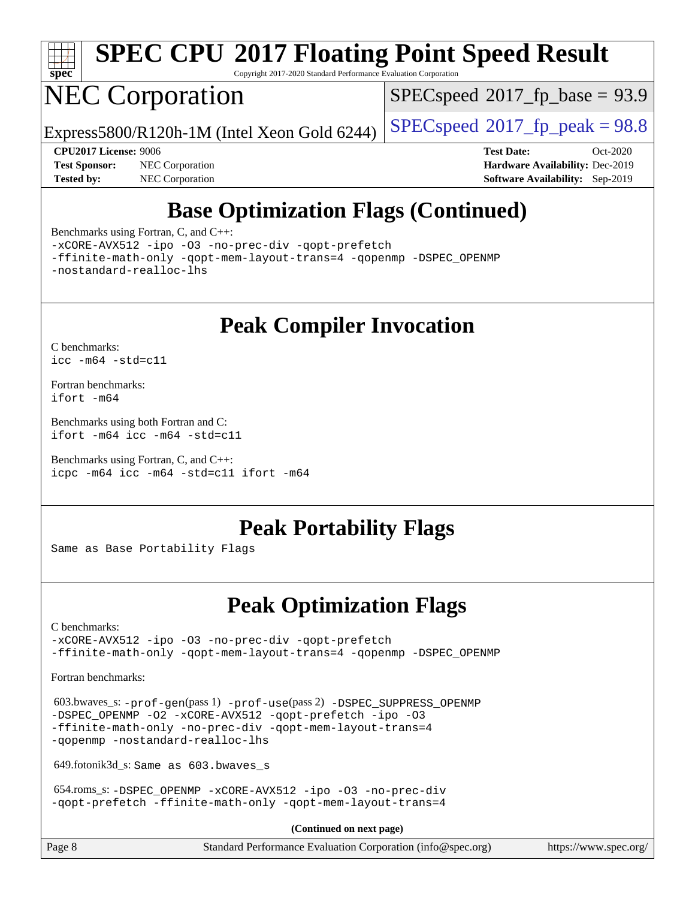

# **[SPEC CPU](http://www.spec.org/auto/cpu2017/Docs/result-fields.html#SPECCPU2017FloatingPointSpeedResult)[2017 Floating Point Speed Result](http://www.spec.org/auto/cpu2017/Docs/result-fields.html#SPECCPU2017FloatingPointSpeedResult)**

Copyright 2017-2020 Standard Performance Evaluation Corporation

# NEC Corporation

 $SPECspeed*2017_fp\_base = 93.9$  $SPECspeed*2017_fp\_base = 93.9$ 

Express5800/R120h-1M (Intel Xeon Gold 6244) [SPECspeed](http://www.spec.org/auto/cpu2017/Docs/result-fields.html#SPECspeed2017fppeak)<sup>®</sup>[2017\\_fp\\_peak = 9](http://www.spec.org/auto/cpu2017/Docs/result-fields.html#SPECspeed2017fppeak)8.8

**[Tested by:](http://www.spec.org/auto/cpu2017/Docs/result-fields.html#Testedby)** NEC Corporation **[Software Availability:](http://www.spec.org/auto/cpu2017/Docs/result-fields.html#SoftwareAvailability)** Sep-2019

**[CPU2017 License:](http://www.spec.org/auto/cpu2017/Docs/result-fields.html#CPU2017License)** 9006 **[Test Date:](http://www.spec.org/auto/cpu2017/Docs/result-fields.html#TestDate)** Oct-2020 **[Test Sponsor:](http://www.spec.org/auto/cpu2017/Docs/result-fields.html#TestSponsor)** NEC Corporation **[Hardware Availability:](http://www.spec.org/auto/cpu2017/Docs/result-fields.html#HardwareAvailability)** Dec-2019

## **[Base Optimization Flags \(Continued\)](http://www.spec.org/auto/cpu2017/Docs/result-fields.html#BaseOptimizationFlags)**

[Benchmarks using Fortran, C, and C++:](http://www.spec.org/auto/cpu2017/Docs/result-fields.html#BenchmarksusingFortranCandCXX)

[-xCORE-AVX512](http://www.spec.org/cpu2017/results/res2020q4/cpu2017-20201026-24268.flags.html#user_CC_CXX_FCbase_f-xCORE-AVX512) [-ipo](http://www.spec.org/cpu2017/results/res2020q4/cpu2017-20201026-24268.flags.html#user_CC_CXX_FCbase_f-ipo) [-O3](http://www.spec.org/cpu2017/results/res2020q4/cpu2017-20201026-24268.flags.html#user_CC_CXX_FCbase_f-O3) [-no-prec-div](http://www.spec.org/cpu2017/results/res2020q4/cpu2017-20201026-24268.flags.html#user_CC_CXX_FCbase_f-no-prec-div) [-qopt-prefetch](http://www.spec.org/cpu2017/results/res2020q4/cpu2017-20201026-24268.flags.html#user_CC_CXX_FCbase_f-qopt-prefetch)

[-ffinite-math-only](http://www.spec.org/cpu2017/results/res2020q4/cpu2017-20201026-24268.flags.html#user_CC_CXX_FCbase_f_finite_math_only_cb91587bd2077682c4b38af759c288ed7c732db004271a9512da14a4f8007909a5f1427ecbf1a0fb78ff2a814402c6114ac565ca162485bbcae155b5e4258871) [-qopt-mem-layout-trans=4](http://www.spec.org/cpu2017/results/res2020q4/cpu2017-20201026-24268.flags.html#user_CC_CXX_FCbase_f-qopt-mem-layout-trans_fa39e755916c150a61361b7846f310bcdf6f04e385ef281cadf3647acec3f0ae266d1a1d22d972a7087a248fd4e6ca390a3634700869573d231a252c784941a8) [-qopenmp](http://www.spec.org/cpu2017/results/res2020q4/cpu2017-20201026-24268.flags.html#user_CC_CXX_FCbase_qopenmp_16be0c44f24f464004c6784a7acb94aca937f053568ce72f94b139a11c7c168634a55f6653758ddd83bcf7b8463e8028bb0b48b77bcddc6b78d5d95bb1df2967) [-DSPEC\\_OPENMP](http://www.spec.org/cpu2017/results/res2020q4/cpu2017-20201026-24268.flags.html#suite_CC_CXX_FCbase_DSPEC_OPENMP) [-nostandard-realloc-lhs](http://www.spec.org/cpu2017/results/res2020q4/cpu2017-20201026-24268.flags.html#user_CC_CXX_FCbase_f_2003_std_realloc_82b4557e90729c0f113870c07e44d33d6f5a304b4f63d4c15d2d0f1fab99f5daaed73bdb9275d9ae411527f28b936061aa8b9c8f2d63842963b95c9dd6426b8a)

## **[Peak Compiler Invocation](http://www.spec.org/auto/cpu2017/Docs/result-fields.html#PeakCompilerInvocation)**

[C benchmarks](http://www.spec.org/auto/cpu2017/Docs/result-fields.html#Cbenchmarks): [icc -m64 -std=c11](http://www.spec.org/cpu2017/results/res2020q4/cpu2017-20201026-24268.flags.html#user_CCpeak_intel_icc_64bit_c11_33ee0cdaae7deeeab2a9725423ba97205ce30f63b9926c2519791662299b76a0318f32ddfffdc46587804de3178b4f9328c46fa7c2b0cd779d7a61945c91cd35)

[Fortran benchmarks](http://www.spec.org/auto/cpu2017/Docs/result-fields.html#Fortranbenchmarks): [ifort -m64](http://www.spec.org/cpu2017/results/res2020q4/cpu2017-20201026-24268.flags.html#user_FCpeak_intel_ifort_64bit_24f2bb282fbaeffd6157abe4f878425411749daecae9a33200eee2bee2fe76f3b89351d69a8130dd5949958ce389cf37ff59a95e7a40d588e8d3a57e0c3fd751)

[Benchmarks using both Fortran and C](http://www.spec.org/auto/cpu2017/Docs/result-fields.html#BenchmarksusingbothFortranandC): [ifort -m64](http://www.spec.org/cpu2017/results/res2020q4/cpu2017-20201026-24268.flags.html#user_CC_FCpeak_intel_ifort_64bit_24f2bb282fbaeffd6157abe4f878425411749daecae9a33200eee2bee2fe76f3b89351d69a8130dd5949958ce389cf37ff59a95e7a40d588e8d3a57e0c3fd751) [icc -m64 -std=c11](http://www.spec.org/cpu2017/results/res2020q4/cpu2017-20201026-24268.flags.html#user_CC_FCpeak_intel_icc_64bit_c11_33ee0cdaae7deeeab2a9725423ba97205ce30f63b9926c2519791662299b76a0318f32ddfffdc46587804de3178b4f9328c46fa7c2b0cd779d7a61945c91cd35)

[Benchmarks using Fortran, C, and C++:](http://www.spec.org/auto/cpu2017/Docs/result-fields.html#BenchmarksusingFortranCandCXX) [icpc -m64](http://www.spec.org/cpu2017/results/res2020q4/cpu2017-20201026-24268.flags.html#user_CC_CXX_FCpeak_intel_icpc_64bit_4ecb2543ae3f1412ef961e0650ca070fec7b7afdcd6ed48761b84423119d1bf6bdf5cad15b44d48e7256388bc77273b966e5eb805aefd121eb22e9299b2ec9d9) [icc -m64 -std=c11](http://www.spec.org/cpu2017/results/res2020q4/cpu2017-20201026-24268.flags.html#user_CC_CXX_FCpeak_intel_icc_64bit_c11_33ee0cdaae7deeeab2a9725423ba97205ce30f63b9926c2519791662299b76a0318f32ddfffdc46587804de3178b4f9328c46fa7c2b0cd779d7a61945c91cd35) [ifort -m64](http://www.spec.org/cpu2017/results/res2020q4/cpu2017-20201026-24268.flags.html#user_CC_CXX_FCpeak_intel_ifort_64bit_24f2bb282fbaeffd6157abe4f878425411749daecae9a33200eee2bee2fe76f3b89351d69a8130dd5949958ce389cf37ff59a95e7a40d588e8d3a57e0c3fd751)

### **[Peak Portability Flags](http://www.spec.org/auto/cpu2017/Docs/result-fields.html#PeakPortabilityFlags)**

Same as Base Portability Flags

### **[Peak Optimization Flags](http://www.spec.org/auto/cpu2017/Docs/result-fields.html#PeakOptimizationFlags)**

[C benchmarks](http://www.spec.org/auto/cpu2017/Docs/result-fields.html#Cbenchmarks):

[-xCORE-AVX512](http://www.spec.org/cpu2017/results/res2020q4/cpu2017-20201026-24268.flags.html#user_CCpeak_f-xCORE-AVX512) [-ipo](http://www.spec.org/cpu2017/results/res2020q4/cpu2017-20201026-24268.flags.html#user_CCpeak_f-ipo) [-O3](http://www.spec.org/cpu2017/results/res2020q4/cpu2017-20201026-24268.flags.html#user_CCpeak_f-O3) [-no-prec-div](http://www.spec.org/cpu2017/results/res2020q4/cpu2017-20201026-24268.flags.html#user_CCpeak_f-no-prec-div) [-qopt-prefetch](http://www.spec.org/cpu2017/results/res2020q4/cpu2017-20201026-24268.flags.html#user_CCpeak_f-qopt-prefetch) [-ffinite-math-only](http://www.spec.org/cpu2017/results/res2020q4/cpu2017-20201026-24268.flags.html#user_CCpeak_f_finite_math_only_cb91587bd2077682c4b38af759c288ed7c732db004271a9512da14a4f8007909a5f1427ecbf1a0fb78ff2a814402c6114ac565ca162485bbcae155b5e4258871) [-qopt-mem-layout-trans=4](http://www.spec.org/cpu2017/results/res2020q4/cpu2017-20201026-24268.flags.html#user_CCpeak_f-qopt-mem-layout-trans_fa39e755916c150a61361b7846f310bcdf6f04e385ef281cadf3647acec3f0ae266d1a1d22d972a7087a248fd4e6ca390a3634700869573d231a252c784941a8) [-qopenmp](http://www.spec.org/cpu2017/results/res2020q4/cpu2017-20201026-24268.flags.html#user_CCpeak_qopenmp_16be0c44f24f464004c6784a7acb94aca937f053568ce72f94b139a11c7c168634a55f6653758ddd83bcf7b8463e8028bb0b48b77bcddc6b78d5d95bb1df2967) [-DSPEC\\_OPENMP](http://www.spec.org/cpu2017/results/res2020q4/cpu2017-20201026-24268.flags.html#suite_CCpeak_DSPEC_OPENMP)

[Fortran benchmarks](http://www.spec.org/auto/cpu2017/Docs/result-fields.html#Fortranbenchmarks):

 603.bwaves\_s: [-prof-gen](http://www.spec.org/cpu2017/results/res2020q4/cpu2017-20201026-24268.flags.html#user_peakPASS1_FFLAGSPASS1_LDFLAGS603_bwaves_s_prof_gen_5aa4926d6013ddb2a31985c654b3eb18169fc0c6952a63635c234f711e6e63dd76e94ad52365559451ec499a2cdb89e4dc58ba4c67ef54ca681ffbe1461d6b36)(pass 1) [-prof-use](http://www.spec.org/cpu2017/results/res2020q4/cpu2017-20201026-24268.flags.html#user_peakPASS2_FFLAGSPASS2_LDFLAGS603_bwaves_s_prof_use_1a21ceae95f36a2b53c25747139a6c16ca95bd9def2a207b4f0849963b97e94f5260e30a0c64f4bb623698870e679ca08317ef8150905d41bd88c6f78df73f19)(pass 2) [-DSPEC\\_SUPPRESS\\_OPENMP](http://www.spec.org/cpu2017/results/res2020q4/cpu2017-20201026-24268.flags.html#suite_peakPASS1_FOPTIMIZE603_bwaves_s_DSPEC_SUPPRESS_OPENMP) -DSPEC OPENMP [-O2](http://www.spec.org/cpu2017/results/res2020q4/cpu2017-20201026-24268.flags.html#user_peakPASS1_FOPTIMIZE603_bwaves_s_f-O2) [-xCORE-AVX512](http://www.spec.org/cpu2017/results/res2020q4/cpu2017-20201026-24268.flags.html#user_peakPASS2_FOPTIMIZE603_bwaves_s_f-xCORE-AVX512) [-qopt-prefetch](http://www.spec.org/cpu2017/results/res2020q4/cpu2017-20201026-24268.flags.html#user_peakPASS1_FOPTIMIZEPASS2_FOPTIMIZE603_bwaves_s_f-qopt-prefetch) [-ipo](http://www.spec.org/cpu2017/results/res2020q4/cpu2017-20201026-24268.flags.html#user_peakPASS2_FOPTIMIZE603_bwaves_s_f-ipo) [-O3](http://www.spec.org/cpu2017/results/res2020q4/cpu2017-20201026-24268.flags.html#user_peakPASS2_FOPTIMIZE603_bwaves_s_f-O3) [-ffinite-math-only](http://www.spec.org/cpu2017/results/res2020q4/cpu2017-20201026-24268.flags.html#user_peakPASS1_FOPTIMIZEPASS2_FOPTIMIZE603_bwaves_s_f_finite_math_only_cb91587bd2077682c4b38af759c288ed7c732db004271a9512da14a4f8007909a5f1427ecbf1a0fb78ff2a814402c6114ac565ca162485bbcae155b5e4258871) [-no-prec-div](http://www.spec.org/cpu2017/results/res2020q4/cpu2017-20201026-24268.flags.html#user_peakPASS2_FOPTIMIZE603_bwaves_s_f-no-prec-div) [-qopt-mem-layout-trans=4](http://www.spec.org/cpu2017/results/res2020q4/cpu2017-20201026-24268.flags.html#user_peakPASS1_FOPTIMIZEPASS2_FOPTIMIZE603_bwaves_s_f-qopt-mem-layout-trans_fa39e755916c150a61361b7846f310bcdf6f04e385ef281cadf3647acec3f0ae266d1a1d22d972a7087a248fd4e6ca390a3634700869573d231a252c784941a8) [-qopenmp](http://www.spec.org/cpu2017/results/res2020q4/cpu2017-20201026-24268.flags.html#user_peakPASS2_FOPTIMIZE603_bwaves_s_qopenmp_16be0c44f24f464004c6784a7acb94aca937f053568ce72f94b139a11c7c168634a55f6653758ddd83bcf7b8463e8028bb0b48b77bcddc6b78d5d95bb1df2967) [-nostandard-realloc-lhs](http://www.spec.org/cpu2017/results/res2020q4/cpu2017-20201026-24268.flags.html#user_peakEXTRA_FOPTIMIZE603_bwaves_s_f_2003_std_realloc_82b4557e90729c0f113870c07e44d33d6f5a304b4f63d4c15d2d0f1fab99f5daaed73bdb9275d9ae411527f28b936061aa8b9c8f2d63842963b95c9dd6426b8a)

649.fotonik3d\_s: Same as 603.bwaves\_s

 654.roms\_s: [-DSPEC\\_OPENMP](http://www.spec.org/cpu2017/results/res2020q4/cpu2017-20201026-24268.flags.html#suite_peakFOPTIMIZE654_roms_s_DSPEC_OPENMP) [-xCORE-AVX512](http://www.spec.org/cpu2017/results/res2020q4/cpu2017-20201026-24268.flags.html#user_peakFOPTIMIZE654_roms_s_f-xCORE-AVX512) [-ipo](http://www.spec.org/cpu2017/results/res2020q4/cpu2017-20201026-24268.flags.html#user_peakFOPTIMIZE654_roms_s_f-ipo) [-O3](http://www.spec.org/cpu2017/results/res2020q4/cpu2017-20201026-24268.flags.html#user_peakFOPTIMIZE654_roms_s_f-O3) [-no-prec-div](http://www.spec.org/cpu2017/results/res2020q4/cpu2017-20201026-24268.flags.html#user_peakFOPTIMIZE654_roms_s_f-no-prec-div) [-qopt-prefetch](http://www.spec.org/cpu2017/results/res2020q4/cpu2017-20201026-24268.flags.html#user_peakFOPTIMIZE654_roms_s_f-qopt-prefetch) [-ffinite-math-only](http://www.spec.org/cpu2017/results/res2020q4/cpu2017-20201026-24268.flags.html#user_peakFOPTIMIZE654_roms_s_f_finite_math_only_cb91587bd2077682c4b38af759c288ed7c732db004271a9512da14a4f8007909a5f1427ecbf1a0fb78ff2a814402c6114ac565ca162485bbcae155b5e4258871) [-qopt-mem-layout-trans=4](http://www.spec.org/cpu2017/results/res2020q4/cpu2017-20201026-24268.flags.html#user_peakFOPTIMIZE654_roms_s_f-qopt-mem-layout-trans_fa39e755916c150a61361b7846f310bcdf6f04e385ef281cadf3647acec3f0ae266d1a1d22d972a7087a248fd4e6ca390a3634700869573d231a252c784941a8)

**(Continued on next page)**

| Page 8 | Standard Performance Evaluation Corporation (info@spec.org) | https://www.spec.org/ |
|--------|-------------------------------------------------------------|-----------------------|
|--------|-------------------------------------------------------------|-----------------------|